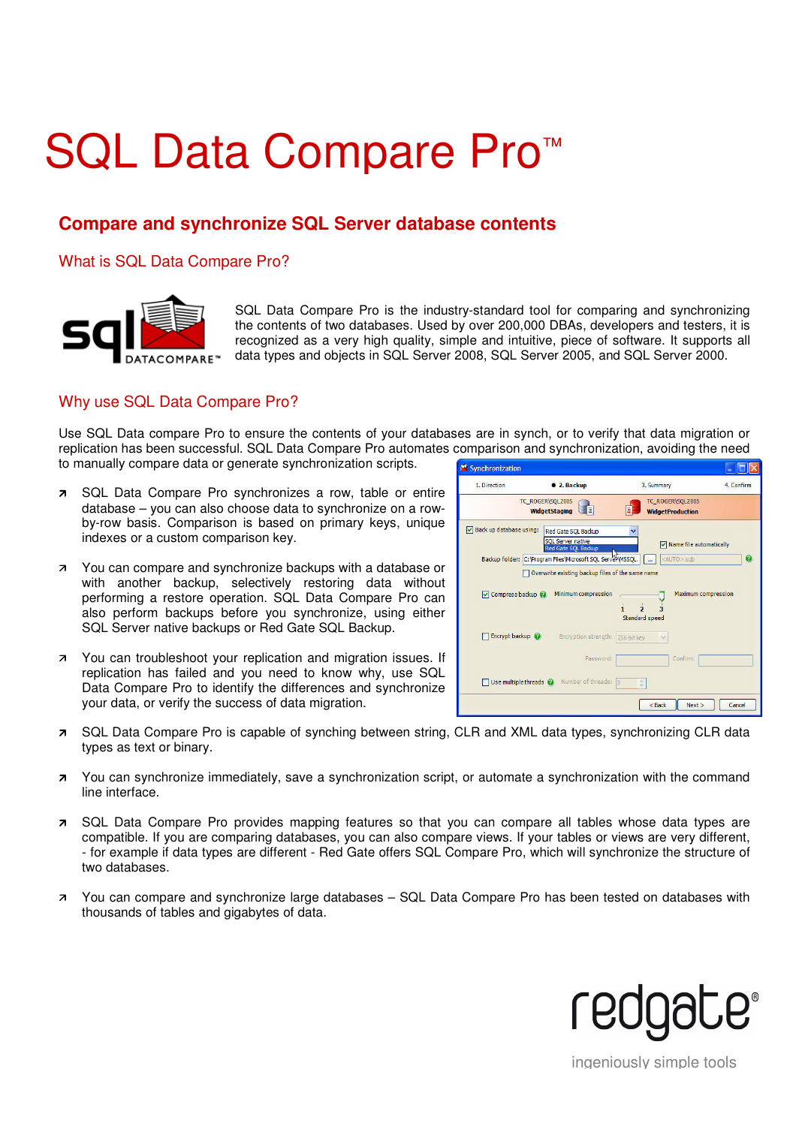# SQL Data Compare Pro™

# **Compare and synchronize SQL Server database contents**

### What is SQL Data Compare Pro?



SQL Data Compare Pro is the industry-standard tool for comparing and synchronizing the contents of two databases. Used by over 200,000 DBAs, developers and testers, it is recognized as a very high quality, simple and intuitive, piece of software. It supports all data types and objects in SQL Server 2008, SQL Server 2005, and SQL Server 2000.

### Why use SQL Data Compare Pro?

Use SQL Data compare Pro to ensure the contents of your databases are in synch, or to verify that data migration or replication has been successful. SQL Data Compare Pro automates comparison and synchronization, avoiding the need to manually compare data or generate synchronization scripts.

- **B** SQL Data Compare Pro synchronizes a row, table or entire database – you can also choose data to synchronize on a rowby-row basis. Comparison is based on primary keys, unique indexes or a custom comparison key.
- **7** You can compare and synchronize backups with a database or with another backup, selectively restoring data without performing a restore operation. SQL Data Compare Pro can also perform backups before you synchronize, using either SQL Server native backups or Red Gate SQL Backup.
- **7** You can troubleshoot your replication and migration issues. If replication has failed and you need to know why, use SQL Data Compare Pro to identify the differences and synchronize your data, or verify the success of data migration.



- SQL Data Compare Pro is capable of synching between string, CLR and XML data types, synchronizing CLR data types as text or binary.
- **7** You can synchronize immediately, save a synchronization script, or automate a synchronization with the command line interface.
- SQL Data Compare Pro provides mapping features so that you can compare all tables whose data types are compatible. If you are comparing databases, you can also compare views. If your tables or views are very different, - for example if data types are different - Red Gate offers SQL Compare Pro, which will synchronize the structure of two databases.
- You can compare and synchronize large databases SQL Data Compare Pro has been tested on databases with thousands of tables and gigabytes of data.



ingeniously simple tools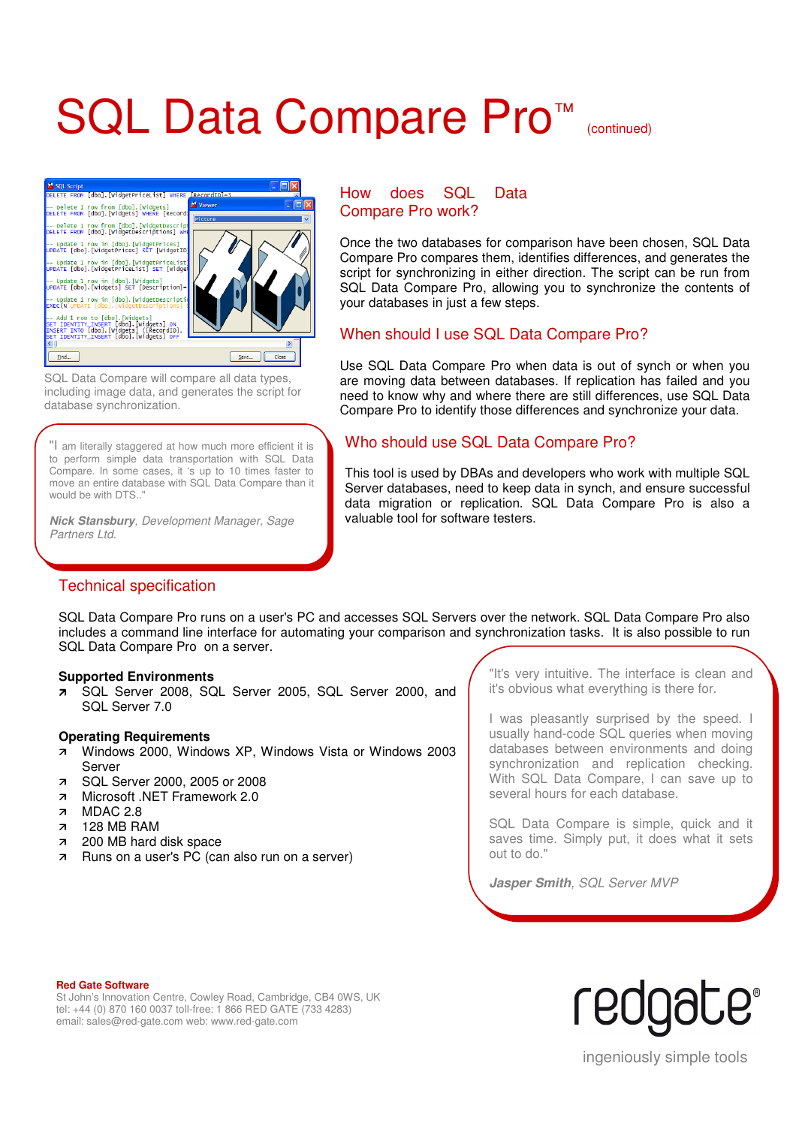# SQL Data Compare Pro<sup>™</sup> (continued)



SQL Data Compare will compare all data types, including image data, and generates the script for database synchronization.

"I am literally staggered at how much more efficient it is to perform simple data transportation with SQL Data Compare. In some cases, it 's up to 10 times faster to move an entire database with SQL Data Compare than it would be with DTS.."

**Nick Stansbury**, Development Manager, Sage Partners Ltd.

### Technical specification

### How does SQL Data Compare Pro work?

Once the two databases for comparison have been chosen, SQL Data Compare Pro compares them, identifies differences, and generates the script for synchronizing in either direction. The script can be run from SQL Data Compare Pro, allowing you to synchronize the contents of your databases in just a few steps.

# When should I use SQL Data Compare Pro?

Use SQL Data Compare Pro when data is out of synch or when you are moving data between databases. If replication has failed and you need to know why and where there are still differences, use SQL Data Compare Pro to identify those differences and synchronize your data.

# Who should use SQL Data Compare Pro?

This tool is used by DBAs and developers who work with multiple SQL Server databases, need to keep data in synch, and ensure successful data migration or replication. SQL Data Compare Pro is also a valuable tool for software testers.

SQL Data Compare Pro runs on a user's PC and accesses SQL Servers over the network. SQL Data Compare Pro also includes a command line interface for automating your comparison and synchronization tasks. It is also possible to run SQL Data Compare Pro on a server.

#### **Supported Environments**

 SQL Server 2008, SQL Server 2005, SQL Server 2000, and SQL Server 7.0

#### **Operating Requirements**

- Windows 2000, Windows XP, Windows Vista or Windows 2003 Server
- **7** SQL Server 2000, 2005 or 2008
- Microsoft .NET Framework 2.0<br>MDAC 2.8
- MDAC 2.8
- 128 MB RAM
- 200 MB hard disk space
- **Runs on a user's PC (can also run on a server)**

"It's very intuitive. The interface is clean and it's obvious what everything is there for.

I was pleasantly surprised by the speed. I usually hand-code SQL queries when moving databases between environments and doing synchronization and replication checking. With SQL Data Compare, I can save up to several hours for each database.

SQL Data Compare is simple, quick and it saves time. Simply put, it does what it sets out to do."

**Jasper Smith**, SQL Server MVP

#### **Red Gate Software**

St John's Innovation Centre, Cowley Road, Cambridge, CB4 0WS, UK tel: +44 (0) 870 160 0037 toll-free: 1 866 RED GATE (733 4283) email: sales@red-gate.com web: www.red-gate.com



ingeniously simple tools